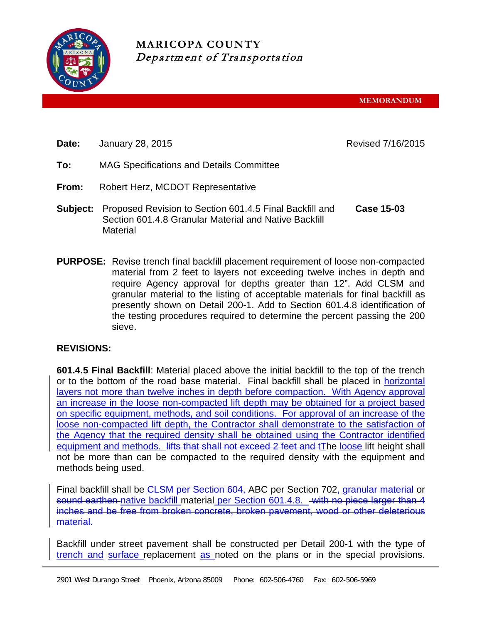

**MARICOPA COUNTY** Department of Transportation

**MEMORANDUM**

**Date:** January 28, 2015 **Date:** Revised 7/16/2015

- **To:** MAG Specifications and Details Committee
- **From:** Robert Herz, MCDOT Representative
- **Subject:** Proposed Revision to Section 601.4.5 Final Backfill and Section 601.4.8 Granular Material and Native Backfill **Material Case 15-03**
- **PURPOSE:** Revise trench final backfill placement requirement of loose non-compacted material from 2 feet to layers not exceeding twelve inches in depth and require Agency approval for depths greater than 12". Add CLSM and granular material to the listing of acceptable materials for final backfill as presently shown on Detail 200-1. Add to Section 601.4.8 identification of the testing procedures required to determine the percent passing the 200 sieve.

## **REVISIONS:**

**601.4.5 Final Backfill**: Material placed above the initial backfill to the top of the trench or to the bottom of the road base material. Final backfill shall be placed in horizontal layers not more than twelve inches in depth before compaction. With Agency approval an increase in the loose non-compacted lift depth may be obtained for a project based on specific equipment, methods, and soil conditions. For approval of an increase of the loose non-compacted lift depth, the Contractor shall demonstrate to the satisfaction of the Agency that the required density shall be obtained using the Contractor identified equipment and methods. Hits that shall not exceed 2 feet and tThe loose lift height shall not be more than can be compacted to the required density with the equipment and methods being used.

Final backfill shall be CLSM per Section 604, ABC per Section 702, granular material or sound earthen native backfill material per Section 601.4.8. with no piece larger than 4 inches and be free from broken concrete, broken pavement, wood or other deleterious material.

Backfill under street pavement shall be constructed per Detail 200-1 with the type of trench and surface replacement as noted on the plans or in the special provisions.